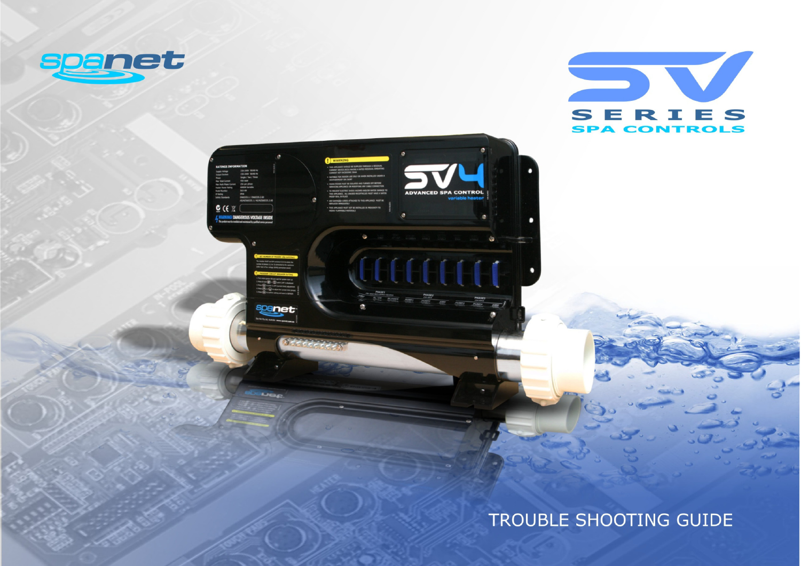





Lige

# TROUBLE SHOOTING GUIDE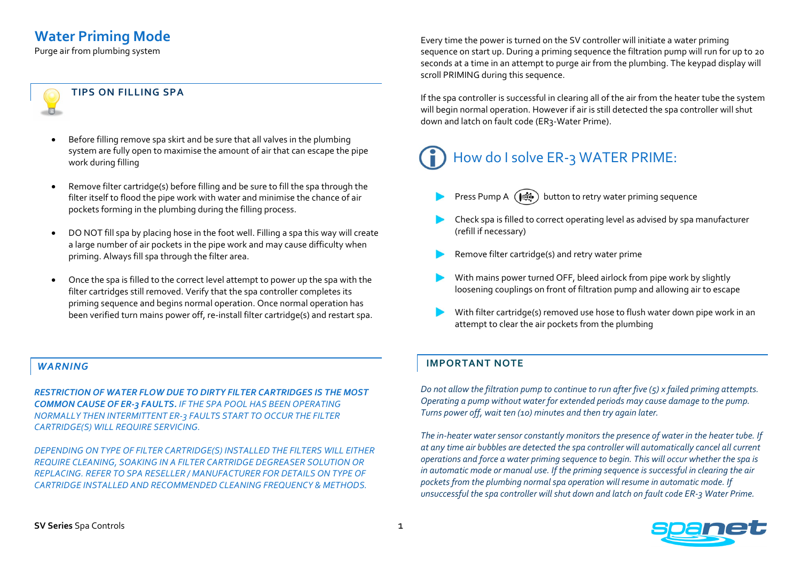## **Water Priming Mode**

Purge air from plumbing system

#### **TIPS ON FILLING SPA**

- Before filling remove spa skirt and be sure that all valves in the plumbing system are fully open to maximise the amount of air that can escape the pipe work during filling
- Remove filter cartridge(s) before filling and be sure to fill the spa through the filter itself to flood the pipe work with water and minimise the chance of air pockets forming in the plumbing during the filling process.
- DO NOT fill spa by placing hose in the foot well. Filling a spa this way will create a large number of air pockets in the pipe work and may cause difficulty when priming. Always fill spa through the filter area.
- Once the spa is filled to the correct level attempt to power up the spa with the filter cartridges still removed. Verify that the spa controller completes its priming sequence and begins normal operation. Once normal operation has been verified turn mains power off, re-install filter cartridge(s) and restart spa.

#### *WARNING*

*RESTRICTION OF WATER FLOW DUE TO DIRTY FILTER CARTRIDGES IS THE MOST COMMON CAUSE OF ER-3 FAULTS. IF THE SPA POOL HAS BEEN OPERATING NORMALLY THEN INTERMITTENT ER-3 FAULTS START TO OCCUR THE FILTER CARTRIDGE(S) WILL REQUIRE SERVICING.*

*DEPENDING ON TYPE OF FILTER CARTRIDGE(S) INSTALLED THE FILTERS WILL EITHER REQUIRE CLEANING, SOAKING IN A FILTER CARTRIDGE DEGREASER SOLUTION OR REPLACING. REFER TO SPA RESELLER / MANUFACTURER FOR DETAILS ON TYPE OF CARTRIDGE INSTALLED AND RECOMMENDED CLEANING FREQUENCY & METHODS.*

Every time the power is turned on the SV controller will initiate a water priming sequence on start up. During a priming sequence the filtration pump will run for up to 20 seconds at a time in an attempt to purge air from the plumbing. The keypad display will scroll PRIMING during this sequence.

If the spa controller is successful in clearing all of the air from the heater tube the system will begin normal operation. However if air is still detected the spa controller will shut down and latch on fault code (ER3-Water Prime).

# How do I solve ER-3 WATER PRIME:

- Press Pump A  $(\bullet)$  button to retry water priming sequence
- Check spa is filled to correct operating level as advised by spa manufacturer (refill if necessary)
- Remove filter cartridge(s) and retry water prime
- With mains power turned OFF, bleed airlock from pipe work by slightly loosening couplings on front of filtration pump and allowing air to escape
- With filter cartridge(s) removed use hose to flush water down pipe work in an attempt to clear the air pockets from the plumbing

#### **IMPORTANT NOTE**

*Do not allow the filtration pump to continue to run after five (5) x failed priming attempts. Operating a pump without water for extended periods may cause damage to the pump. Turns power off, wait ten (10) minutes and then try again later.* 

*The in-heater water sensor constantly monitors the presence of water in the heater tube. If at any time air bubbles are detected the spa controller will automatically cancel all current operations and force a water priming sequence to begin. This will occur whether the spa is in automatic mode or manual use. If the priming sequence is successful in clearing the air pockets from the plumbing normal spa operation will resume in automatic mode. If unsuccessful the spa controller will shut down and latch on fault code ER-3 Water Prime.*

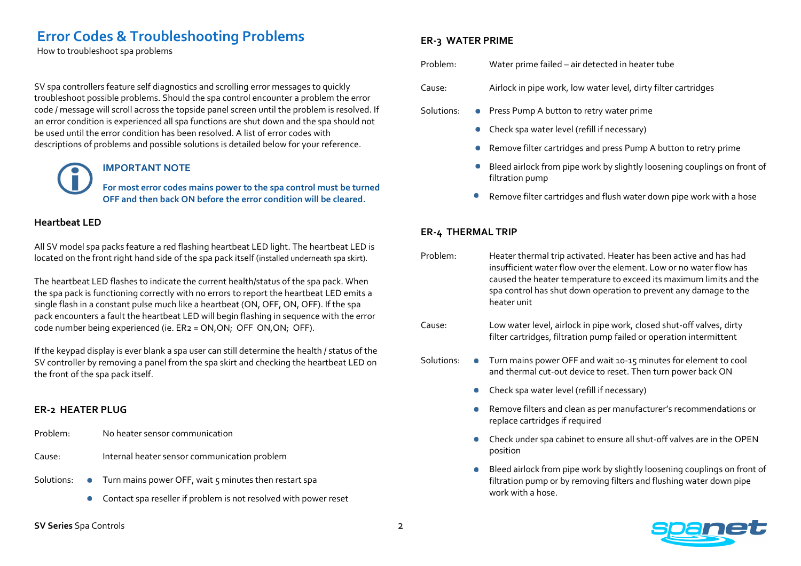### **Error Codes & Troubleshooting Problems**

How to troubleshoot spa problems

SV spa controllers feature self diagnostics and scrolling error messages to quickly troubleshoot possible problems. Should the spa control encounter a problem the error code / message will scroll across the topside panel screen until the problem is resolved. If an error condition is experienced all spa functions are shut down and the spa should not be used until the error condition has been resolved. A list of error codes with descriptions of problems and possible solutions is detailed below for your reference.

#### **IMPORTANT NOTE**

**For most error codes mains power to the spa control must be turned OFF and then back ON before the error condition will be cleared.**

#### **Heartbeat LED**

All SV model spa packs feature a red flashing heartbeat LED light. The heartbeat LED is located on the front right hand side of the spa pack itself (installed underneath spa skirt).

The heartbeat LED flashes to indicate the current health/status of the spa pack. When the spa pack is functioning correctly with no errors to report the heartbeat LED emits a single flash in a constant pulse much like a heartbeat (ON, OFF, ON, OFF). If the spa pack encounters a fault the heartbeat LED will begin flashing in sequence with the error code number being experienced (ie. ER2 = ON,ON; OFF ON,ON; OFF).

If the keypad display is ever blank a spa user can still determine the health / status of the SV controller by removing a panel from the spa skirt and checking the heartbeat LED on the front of the spa pack itself.

#### **ER-2 HEATER PLUG**

- Problem: No heater sensor communication
- Cause: Internal heater sensor communication problem
- Solutions:  $\bullet$  Turn mains power OFF, wait 5 minutes then restart spa
	- Contact spa reseller if problem is not resolved with power reset  $\bullet$

#### **ER-3 WATER PRIME**

Problem: Water prime failed – air detected in heater tube

- Cause: Airlock in pipe work, low water level, dirty filter cartridges
- Solutions: Press Pump A button to retry water prime
	- Check spa water level (refill if necessary)  $\bullet$
	- Remove filter cartridges and press Pump A button to retry prime  $\bullet$
	- Bleed airlock from pipe work by slightly loosening couplings on front of  $\bullet$ filtration pump
	- Remove filter cartridges and flush water down pipe work with a hose

#### **ER-4 THERMAL TRIP**

- Problem: Heater thermal trip activated. Heater has been active and has had insufficient water flow over the element. Low or no water flow has caused the heater temperature to exceed its maximum limits and the spa control has shut down operation to prevent any damage to the heater unit
- Cause: Low water level, airlock in pipe work, closed shut-off valves, dirty filter cartridges, filtration pump failed or operation intermittent
- Solutions:  $\bullet$  Turn mains power OFF and wait 10-15 minutes for element to cool and thermal cut-out device to reset. Then turn power back ON
	- Check spa water level (refill if necessary)
	- Remove filters and clean as per manufacturer's recommendations or replace cartridges if required
	- Check under spa cabinet to ensure all shut-off valves are in the OPEN position
	- Bleed airlock from pipe work by slightly loosening couplings on front of filtration pump or by removing filters and flushing water down pipe work with a hose.

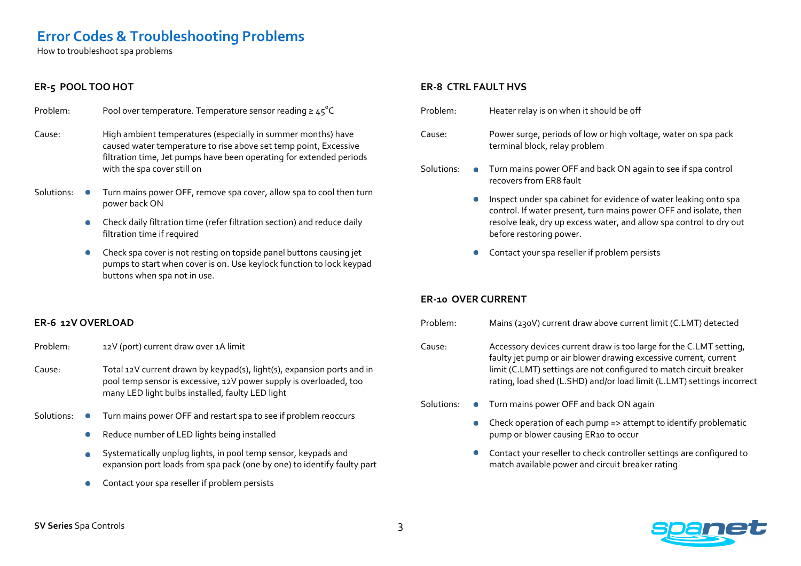## **Error Codes & Troubleshooting Problems**

How to troubleshoot spa problems

#### **ER-5 POOL TOO HOT**

| Problem: | Pool over temperature. Temperature sensor reading $\geq 45^{\circ}$ C |
|----------|-----------------------------------------------------------------------|
|          |                                                                       |

- Cause: High ambient temperatures (especially in summer months) have caused water temperature to rise above set temp point, Excessive filtration time, Jet pumps have been operating for extended periods with the spa cover still on
- Solutions: Turn mains power OFF, remove spa cover, allow spa to cool then turn power back ON
	- Check daily filtration time (refer filtration section) and reduce daily filtration time if required
	- Check spa cover is not resting on topside panel buttons causing jet pumps to start when cover is on. Use keylock function to lock keypad buttons when spa not in use.

#### **ER-6 12V OVERLOAD**

- Problem: 12V (port) current draw over 1A limit
- Cause: Total 12V current drawn by keypad(s), light(s), expansion ports and in pool temp sensor is excessive, 12V power supply is overloaded, too many LED light bulbs installed, faulty LED light
- Solutions:  $\bullet$  Turn mains power OFF and restart spa to see if problem reoccurs
	- Reduce number of LED lights being installed  $\bullet$
	- Systematically unplug lights, in pool temp sensor, keypads and  $\bullet$ expansion port loads from spa pack (one by one) to identify faulty part
	- Contact your spa reseller if problem persists

#### **ER-8 CTRL FAULT HVS**

- Problem: Heater relay is on when it should be off Cause: Power surge, periods of low or high voltage, water on spa pack terminal block, relay problem Solutions: • Turn mains power OFF and back ON again to see if spa control recovers from ER8 fault Inspect under spa cabinet for evidence of water leaking onto spa  $\bullet$ control. If water present, turn mains power OFF and isolate, then resolve leak, dry up excess water, and allow spa control to dry out before restoring power.
	- Contact your spa reseller if problem persists

#### **ER-10 OVER CURRENT**

Problem: Mains (230V) current draw above current limit (C.LMT) detected

Cause: Accessory devices current draw is too large for the C.LMT setting, faulty jet pump or air blower drawing excessive current, current limit (C.LMT) settings are not configured to match circuit breaker rating, load shed (L.SHD) and/or load limit (L.LMT) settings incorrect

- Solutions: Turn mains power OFF and back ON again
	- Check operation of each pump => attempt to identify problematic pump or blower causing ER10 to occur
	- Contact your reseller to check controller settings are configured to match available power and circuit breaker rating

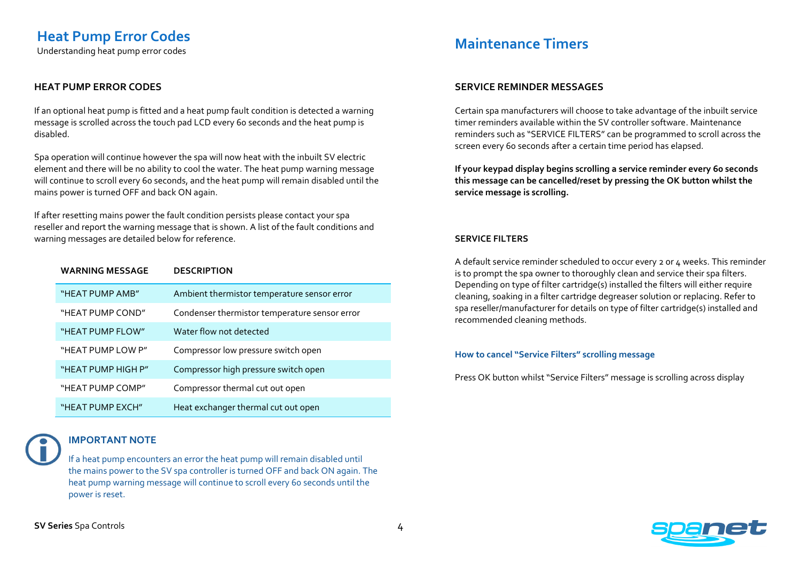Understanding heat pump error codes

#### **HEAT PUMP ERROR CODES**

If an optional heat pump is fitted and a heat pump fault condition is detected a warning message is scrolled across the touch pad LCD every 60 seconds and the heat pump is disabled.

Spa operation will continue however the spa will now heat with the inbuilt SV electric element and there will be no ability to cool the water. The heat pump warning message will continue to scroll every 60 seconds, and the heat pump will remain disabled until the mains power is turned OFF and back ON again.

If after resetting mains power the fault condition persists please contact your spa reseller and report the warning message that is shown. A list of the fault conditions and warning messages are detailed below for reference.

| <b>WARNING MESSAGE</b> | <b>DESCRIPTION</b>                            |
|------------------------|-----------------------------------------------|
| "HEAT PUMP AMB"        | Ambient thermistor temperature sensor error   |
| "HEAT PUMP COND"       | Condenser thermistor temperature sensor error |
| "HEAT PUMP FLOW"       | Water flow not detected                       |
| "HEAT PUMP LOW P"      | Compressor low pressure switch open           |
| "HEAT PUMP HIGH P"     | Compressor high pressure switch open          |
| "HEAT PUMP COMP"       | Compressor thermal cut out open               |
| "HEAT PUMP EXCH"       | Heat exchanger thermal cut out open           |

#### **IMPORTANT NOTE**

If a heat pump encounters an error the heat pump will remain disabled until the mains power to the SV spa controller is turned OFF and back ON again. The heat pump warning message will continue to scroll every 60 seconds until the power is reset.

## **Maintenance Timers**

#### **SERVICE REMINDER MESSAGES**

Certain spa manufacturers will choose to take advantage of the inbuilt service timer reminders available within the SV controller software. Maintenance reminders such as "SERVICE FILTERS" can be programmed to scroll across the screen every 60 seconds after a certain time period has elapsed.

**If your keypad display begins scrolling a service reminder every 60 seconds this message can be cancelled/reset by pressing the OK button whilst the service message is scrolling.** 

#### **SERVICE FILTERS**

A default service reminder scheduled to occur every 2 or 4 weeks. This reminder is to prompt the spa owner to thoroughly clean and service their spa filters. Depending on type of filter cartridge(s) installed the filters will either require cleaning, soaking in a filter cartridge degreaser solution or replacing. Refer to spa reseller/manufacturer for details on type of filter cartridge(s) installed and recommended cleaning methods.

#### **How to cancel "Service Filters" scrolling message**

Press OK button whilst "Service Filters" message is scrolling across display